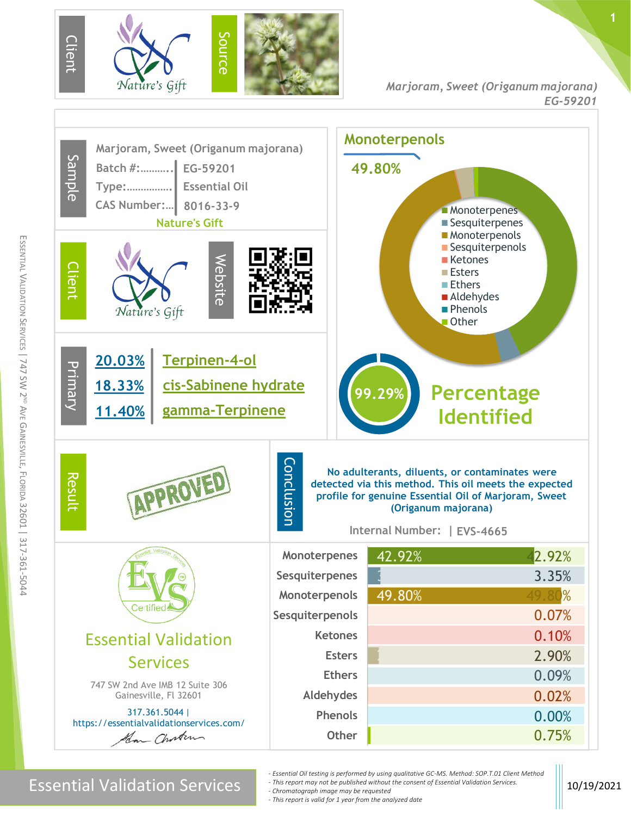





m

Essential Validation Services **10/19/2021**<br>Chromatograph image may be requested

- *- Essential Oil testing is performed by using qualitative GC-MS. Method: SOP.T.01 Client Method - This report may not be published without the consent of Essential Validation Services.*
- *- Chromatograph image may be requested*
- *- This report is valid for 1 year from the analyzed date*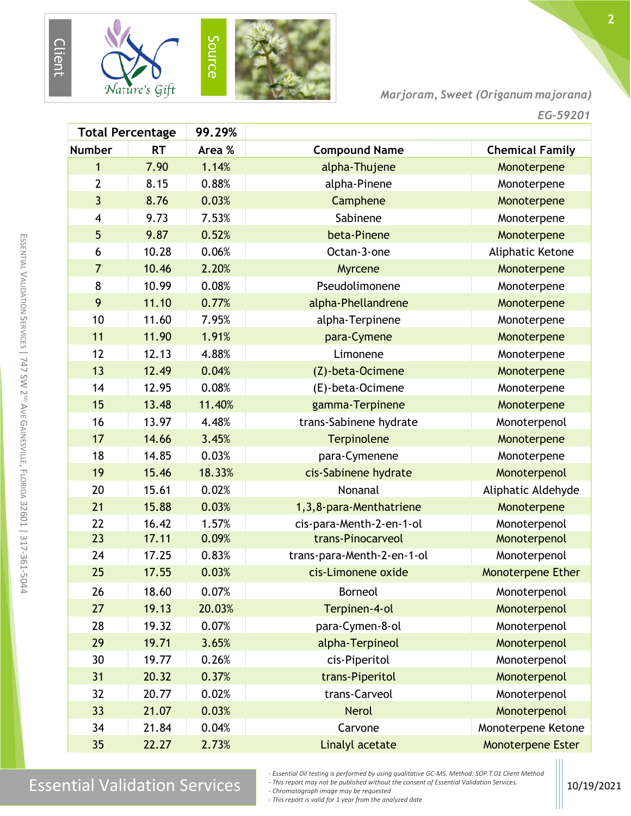

*Marjoram, Sweet (Origanum majorana)*

**2**

| <b>Total Percentage</b> |           | 99.29% |                            |                        |
|-------------------------|-----------|--------|----------------------------|------------------------|
| <b>Number</b>           | <b>RT</b> | Area % | <b>Compound Name</b>       | <b>Chemical Family</b> |
| 1                       | 7.90      | 1.14%  | alpha-Thujene              | Monoterpene            |
| $\overline{2}$          | 8.15      | 0.88%  | alpha-Pinene               | Monoterpene            |
| $\overline{3}$          | 8.76      | 0.03%  | Camphene                   | Monoterpene            |
| 4                       | 9.73      | 7.53%  | Sabinene                   | Monoterpene            |
| 5                       | 9.87      | 0.52%  | beta-Pinene                | Monoterpene            |
| 6                       | 10.28     | 0.06%  | Octan-3-one                | Aliphatic Ketone       |
| $\overline{7}$          | 10.46     | 2.20%  | Myrcene                    | Monoterpene            |
| 8                       | 10.99     | 0.08%  | Pseudolimonene             | Monoterpene            |
| 9                       | 11.10     | 0.77%  | alpha-Phellandrene         | Monoterpene            |
| 10                      | 11.60     | 7.95%  | alpha-Terpinene            | Monoterpene            |
| 11                      | 11.90     | 1.91%  | para-Cymene                | Monoterpene            |
| 12                      | 12.13     | 4.88%  | Limonene                   | Monoterpene            |
| 13                      | 12.49     | 0.04%  | (Z)-beta-Ocimene           | Monoterpene            |
| 14                      | 12.95     | 0.08%  | (E)-beta-Ocimene           | Monoterpene            |
| 15                      | 13.48     | 11.40% | gamma-Terpinene            | Monoterpene            |
| 16                      | 13.97     | 4.48%  | trans-Sabinene hydrate     | Monoterpenol           |
| 17                      | 14.66     | 3.45%  | Terpinolene                | Monoterpene            |
| 18                      | 14.85     | 0.03%  | para-Cymenene              | Monoterpene            |
| 19                      | 15.46     | 18.33% | cis-Sabinene hydrate       | Monoterpenol           |
| 20                      | 15.61     | 0.02%  | Nonanal                    | Aliphatic Aldehyde     |
| 21                      | 15.88     | 0.03%  | 1,3,8-para-Menthatriene    | Monoterpene            |
| 22                      | 16.42     | 1.57%  | cis-para-Menth-2-en-1-ol   | Monoterpenol           |
| 23                      | 17.11     | 0.09%  | trans-Pinocarveol          | Monoterpenol           |
| 24                      | 17.25     | 0.83%  | trans-para-Menth-2-en-1-ol | Monoterpenol           |
| 25                      | 17.55     | 0.03%  | cis-Limonene oxide         | Monoterpene Ether      |
| 26                      | 18.60     | 0.07%  | <b>Borneol</b>             | Monoterpenol           |
| 27                      | 19.13     | 20.03% | Terpinen-4-ol              | Monoterpenol           |
| 28                      | 19.32     | 0.07%  | para-Cymen-8-ol            | Monoterpenol           |
| 29                      | 19.71     | 3.65%  | alpha-Terpineol            | Monoterpenol           |
| 30                      | 19.77     | 0.26%  | cis-Piperitol              | Monoterpenol           |
| 31                      | 20.32     | 0.37%  | trans-Piperitol            | Monoterpenol           |
| 32                      | 20.77     | 0.02%  | trans-Carveol              | Monoterpenol           |
| 33                      | 21.07     | 0.03%  | <b>Nerol</b>               | Monoterpenol           |
| 34                      | 21.84     | 0.04%  | Carvone                    | Monoterpene Ketone     |
| 35                      | 22.27     | 2.73%  | Linalyl acetate            | Monoterpene Ester      |

ESSENTIAL  $\leq$ 

m SSENTIAL  $\,<$ 

ALIDATION

ALIDATION

## $\text{Essen}$  and the consential validation Services  $\text{Essen}$  and  $\text{Essen}$  and  $\text{Essen}$  and  $\text{Essen}$  and  $\text{Essen}$  and  $\text{Essen}$  and  $\text{Essen}$  and  $\text{Essen}$  and  $\text{Essen}$  and  $\text{Essen}$  and  $\text{Essen}$  and  $\text{Essen}$  and  $\text{Essen}$  and  $\text{$

*- Chromatograph image may be requested*

*- This report is valid for 1 year from the analyzed date*

*<sup>-</sup> Essential Oil testing is performed by using qualitative GC-MS. Method: SOP.T.01 Client Method*

*<sup>-</sup> This report may not be published without the consent of Essential Validation Services.*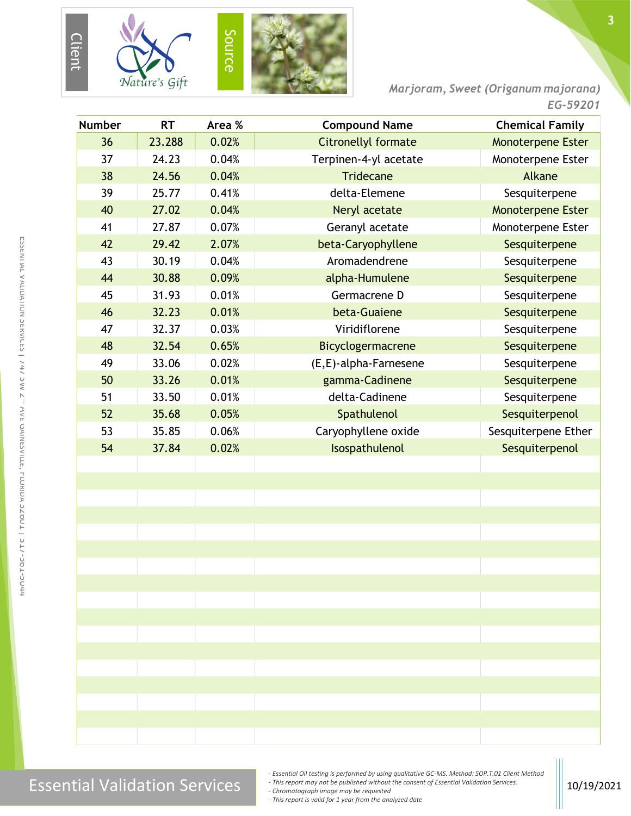

*Marjoram, Sweet (Origanum majorana)*

|               |           |        |                       | EU-JYZU I                |
|---------------|-----------|--------|-----------------------|--------------------------|
| <b>Number</b> | <b>RT</b> | Area % | <b>Compound Name</b>  | <b>Chemical Family</b>   |
| 36            | 23.288    | 0.02%  | Citronellyl formate   | Monoterpene Ester        |
| 37            | 24.23     | 0.04%  | Terpinen-4-yl acetate | Monoterpene Ester        |
| 38            | 24.56     | 0.04%  | <b>Tridecane</b>      | Alkane                   |
| 39            | 25.77     | 0.41%  | delta-Elemene         | Sesquiterpene            |
| 40            | 27.02     | 0.04%  | Neryl acetate         | <b>Monoterpene Ester</b> |
| 41            | 27.87     | 0.07%  | Geranyl acetate       | Monoterpene Ester        |
| 42            | 29.42     | 2.07%  | beta-Caryophyllene    | Sesquiterpene            |
| 43            | 30.19     | 0.04%  | Aromadendrene         | Sesquiterpene            |
| 44            | 30.88     | 0.09%  | alpha-Humulene        | Sesquiterpene            |
| 45            | 31.93     | 0.01%  | Germacrene D          | Sesquiterpene            |
| 46            | 32.23     | 0.01%  | beta-Guaiene          | Sesquiterpene            |
| 47            | 32.37     | 0.03%  | Viridiflorene         | Sesquiterpene            |
| 48            | 32.54     | 0.65%  | Bicyclogermacrene     | Sesquiterpene            |
| 49            | 33.06     | 0.02%  | (E,E)-alpha-Farnesene | Sesquiterpene            |
| 50            | 33.26     | 0.01%  | gamma-Cadinene        | Sesquiterpene            |
| 51            | 33.50     | 0.01%  | delta-Cadinene        | Sesquiterpene            |
| 52            | 35.68     | 0.05%  | Spathulenol           | Sesquiterpenol           |
| 53            | 35.85     | 0.06%  | Caryophyllene oxide   | Sesquiterpene Ether      |
| 54            | 37.84     | 0.02%  | Isospathulenol        | Sesquiterpenol           |
|               |           |        |                       |                          |
|               |           |        |                       |                          |
|               |           |        |                       |                          |
|               |           |        |                       |                          |
|               |           |        |                       |                          |
|               |           |        |                       |                          |
|               |           |        |                       |                          |
|               |           |        |                       |                          |
|               |           |        |                       |                          |
|               |           |        |                       |                          |
|               |           |        |                       |                          |
|               |           |        |                       |                          |
|               |           |        |                       |                          |
|               |           |        |                       |                          |
|               |           |        |                       |                          |
|               |           |        |                       |                          |
|               |           |        |                       |                          |

E

*- Essential Oil testing is performed by using qualitative GC-MS. Method: SOP.T.01 Client Method*

*- This report may not be published without the consent of Essential Validation Services.*

*- Chromatograph image may be requested*

*- This report is valid for 1 year from the analyzed date*